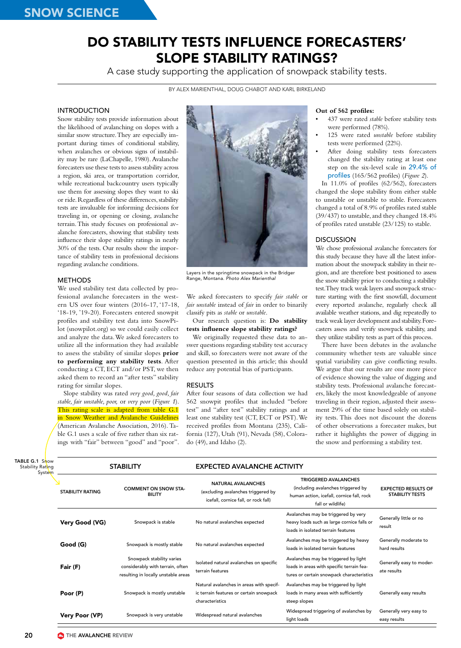# DO STABILITY TESTS INFLUENCE FORECASTERS' SLOPE STABILITY RATINGS?

A case study supporting the application of snowpack stability tests.

BY ALEX MARIENTHAL, DOUG CHABOT AND KARL BIRKELAND

# INTRODUCTION

Snow stability tests provide information about the likelihood of avalanching on slopes with a similar snow structure. They are especially important during times of conditional stability, when avalanches or obvious signs of instability may be rare (LaChapelle, 1980). Avalanche forecasters use these tests to assess stability across a region, ski area, or transportation corridor, while recreational backcountry users typically use them for assessing slopes they want to ski or ride. Regardless of these differences, stability tests are invaluable for informing decisions for traveling in, or opening or closing, avalanche terrain. This study focuses on professional avalanche forecasters, showing that stability tests influence their slope stability ratings in nearly 30% of the tests. Our results show the importance of stability tests in professional decisions regarding avalanche conditions.

#### METHODS

We used stability test data collected by professional avalanche forecasters in the western US over four winters (2016-17, '17-18, '18-19, '19-20). Forecasters entered snowpit profiles and stability test data into SnowPilot (snowpilot.org) so we could easily collect and analyze the data. We asked forecasters to utilize all the information they had available to assess the stability of similar slopes **prior to performing any stability tests**. After conducting a CT, ECT and/or PST, we then asked them to record an "after tests" stability rating for similar slopes.

Slope stability was rated *very good, good, fair stable, fair unstable, poor,* or *very poor* (*Figure 1*). This rating scale is adapted from table G.1 in Snow Weather and Avalanche Guidelines (American Avalanche Association, 2016). Table G.1 uses a scale of five rather than six ratings with "fair" between "good" and "poor".



Layers in the springtime snowpack in the Bridger Range, Montana. *Photo Alex Marienthal*

We asked forecasters to specify *fair stable* or *fair unstable* instead of *fair* in order to binarily classify pits as *stable* or *unstable*.

### Our research question is: **Do stability tests influence slope stability ratings?**

We originally requested these data to answer questions regarding stability test accuracy and skill, so forecasters were not aware of the question presented in this article; this should reduce any potential bias of participants.

#### RESULTS

After four seasons of data collection we had 562 snowpit profiles that included "before test" and "after test" stability ratings and at least one stability test (CT, ECT or PST). We received profiles from Montana (235), California (127), Utah (91), Nevada (58), Colorado (49), and Idaho (2).

#### **Out of 562 profiles:**

- 437 were rated *stable* before stability tests were performed (78%).
- 125 were rated *unstable* before stability tests were performed (22%).
- After doing stability tests forecasters changed the stability rating at least one step on the six-level scale in 29.4% of profiles (165/562 profiles) (*Figure 2*).

In 11.0% of profiles (62/562), forecasters changed the slope stability from either stable to unstable or unstable to stable. Forecasters changed a total of 8.9% of profiles rated stable (39/437) to unstable, and they changed 18.4% of profiles rated unstable (23/125) to stable.

## DISCUSSION

We chose professional avalanche forecasters for this study because they have all the latest information about the snowpack stability in their region, and are therefore best positioned to assess the snow stability prior to conducting a stability test. They track weak layers and snowpack structure starting with the first snowfall, document every reported avalanche, regularly check all available weather stations, and dig repeatedly to track weak layer development and stability. Forecasters assess and verify snowpack stability, and they utilize stability tests as part of this process.

There have been debates in the avalanche community whether tests are valuable since spatial variability can give conflicting results. We argue that our results are one more piece of evidence showing the value of digging and stability tests. Professional avalanche forecasters, likely the most knowledgeable of anyone traveling in their region, adjusted their assessment 29% of the time based solely on stability tests. This does not discount the dozens of other observations a forecaster makes, but rather it highlights the power of digging in the snow and performing a stability test.

| TABLE G.1 Snow<br>Stability Rating<br>System | <b>STABILITY</b>        |                                                                                                      | <b>EXPECTED AVALANCHE ACTIVITY</b>                                                                      |                                                                                                                                     |                                                      |
|----------------------------------------------|-------------------------|------------------------------------------------------------------------------------------------------|---------------------------------------------------------------------------------------------------------|-------------------------------------------------------------------------------------------------------------------------------------|------------------------------------------------------|
|                                              | <b>STABILITY RATING</b> | <b>COMMENT ON SNOW STA-</b><br><b>BILITY</b>                                                         | <b>NATURAL AVALANCHES</b><br>(excluding avalanches triggered by<br>icefall, cornice fall, or rock fall) | <b>TRIGGERED AVALANCHES</b><br>(including avalanches triggered by<br>human action, icefall, cornice fall, rock<br>fall or wildlife) | <b>EXPECTED RESULTS OF</b><br><b>STABILITY TESTS</b> |
|                                              | Very Good (VG)          | Snowpack is stable                                                                                   | No natural avalanches expected                                                                          | Avalanches may be triggered by very<br>heavy loads such as large cornice falls or<br>loads in isolated terrain features             | Generally little or no<br>result                     |
|                                              | Good (G)                | Snowpack is mostly stable                                                                            | No natural avalanches expected                                                                          | Avalanches may be triggered by heavy<br>loads in isolated terrain features                                                          | Generally moderate to<br>hard results                |
|                                              | Fair (F)                | Snowpack stability varies<br>considerably with terrain, often<br>resulting in locally unstable areas | Isolated natural avalanches on specific<br>terrain features                                             | Avalanches may be triggered by light<br>loads in areas with specific terrain fea-<br>tures or certain snowpack characteristics      | Generally easy to moder-<br>ate results              |
|                                              | Poor (P)                | Snowpack is mostly unstable                                                                          | Natural avalanches in areas with specif-<br>ic terrain features or certain snowpack<br>characteristics  | Avalanches may be triggered by light<br>loads in many areas with sufficiently<br>steep slopes                                       | Generally easy results                               |
|                                              | Very Poor (VP)          | Snowpack is very unstable                                                                            | Widespread natural avalanches                                                                           | Widespread triggering of avalanches by<br>light loads                                                                               | Generally very easy to<br>easy results               |